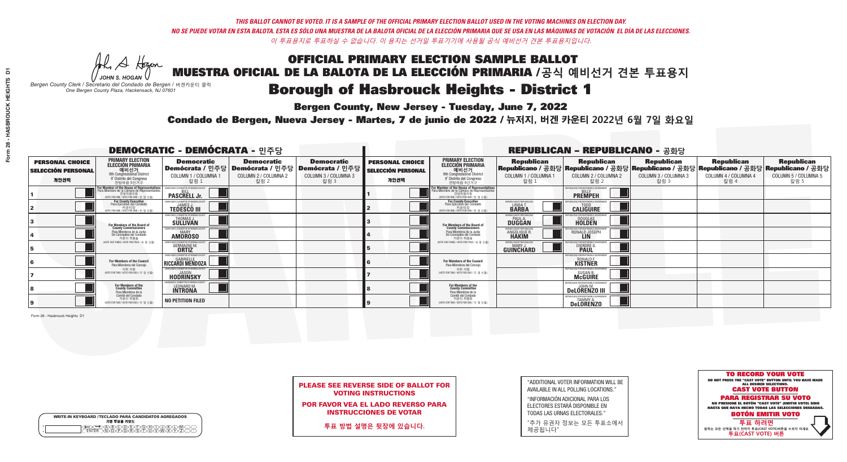A Hogen

**Bergen County, New Jersey - Tuesday, June 7, 2022** 

| <b>WRITE-IN KEYBOARD /TECLADO PARA CANDIDATOS AGREGADOS</b><br>기명 투표용 키보드 |  |
|---------------------------------------------------------------------------|--|
| E A BOO DE DO BODO KI<br>MA BA BA SA MWA XI                               |  |

*JOHN S. HOGAN Bergen County Clerk / Secretario del Condado de Bergen /* 버겐카운티 클럭 *One Bergen County Plaza, Hackensack, NJ 07601*

Condado de Bergen, Nueva Jersey - Martes, 7 de junio de 2022 / 뉴저지, 버겐 카운티 2022년 6월 7일 화요일 *One Bergen County Plaza, Hackensack, NJ 07601*



PLEASE SEE REVERSE SIDE OF BALLOT FOR VOTING INSTRUCTIONS

POR FAVOR VEA EL LADO REVERSO PARA INSTRUCCIONES DE VOTAR

**투표 방법 설명은 뒷장에 있습니다.**

"ADDITIONAL VOTER INFORMATION WILL BE AVAILABLE IN ALL POLLING LOCATIONS."

"INFORMACIÓN ADICIONAL PARA LOS ELECTORES ESTARÁ DISPONIBLE EN TODAS LAS URNAS ELECTORALES."

"추가 유권자 정보는 모든 투표소에서 제공됩니다"

| <b>DEMOCRATIC - DEMÓCRATA - 민주당</b>                         |                                                                                                                                               |                                                                            |                                                                                       |                                                                          |                                                             |                                                                                                                                              |                                                              | <b>REPUBLICAN - REPUBLICANO - 공화당</b>                                                                                                          |                                                   |                                                   |                                                   |
|-------------------------------------------------------------|-----------------------------------------------------------------------------------------------------------------------------------------------|----------------------------------------------------------------------------|---------------------------------------------------------------------------------------|--------------------------------------------------------------------------|-------------------------------------------------------------|----------------------------------------------------------------------------------------------------------------------------------------------|--------------------------------------------------------------|------------------------------------------------------------------------------------------------------------------------------------------------|---------------------------------------------------|---------------------------------------------------|---------------------------------------------------|
| <b>PERSONAL CHOICE</b><br><b>SELECCIÓN PERSONAL</b><br>개인선택 | <b>PRIMARY ELECTION</b><br><b>ELECCIÓN PRIMARIA</b><br>예비선거<br>9th Congressional District<br>9° Distrito del Congreso<br>연방하원 9선거구            | <b>Democratic</b><br>COLUMN 1 / COLUMNA 1<br>칼럼 1                          | <b>Democratic</b><br>│Demócrata / 민주당│Demócrata / 민주당<br>COLUMN 2 / COLUMNA 2<br>칼럼 2 | <b>Democratic</b><br>ㆍ Demócrata / 민주당 ┃<br>COLUMN 3 / COLUMNA 3<br>칼럼 3 | <b>PERSONAL CHOICE</b><br><b>SELECCIÓN PERSONAL</b><br>개인선택 | <b>PRIMARY ELECTION</b><br><b>ELECCIÓN PRIMARIA</b><br><u>. 예비선거</u><br>9th Congressional District<br>9° Distrito del Congreso<br>연방하원 9선거구  | <b>Republican</b><br>COLUMN 1 / COLUMNA 1<br>칼럼 1            | <b>Republican</b><br>Republicano / 공화당 Republicano / 공화당 Republicano / 공화당 Republicano / 공화당 Republicano / 공화당<br>COLUMN 2 / COLUMNA 2<br>칼럼 2 | <b>Republican</b><br>COLUMN 3 / COLUMNA 3<br>칼럼 3 | <b>Republican</b><br>COLUMN 4 / COLUMNA 4<br>칼럼 4 | <b>Republican</b><br>COLUMN 5 / COLUMNA 5<br>칼럼 5 |
|                                                             | For Member of the House of Representatives<br>Para Miembro de la Cámara de Representantes<br>연방하원의원<br>(VOTE FOR ONE / VOTE POR UNO / 한 명 선출) | DEMOCRATIC COMMITTEE OF BERGEN COUNT<br><b>PASCRELL Jr.</b>                |                                                                                       |                                                                          |                                                             | For Member of the House of Representatives<br>Para Miembro de la Cámara de Representantes<br>연방하원의원<br>(VOTE FOR ONE / VOTE POR UNO / 한 명 선출 |                                                              | PUBLICANS FOR RESPONSIBLE GOVERNME<br><b>PREMPEH</b>                                                                                           |                                                   |                                                   |                                                   |
|                                                             | For County Executive<br>Para Ejecutivo del Condado<br>가운티장<br>(VOTE FOR ONE / VOTE POR UNO / 한 명 선출)                                          | EMOCRATIC COMMITTEE OF BERGEN COUNTY<br><b>TEDESCO III</b>                 |                                                                                       |                                                                          |                                                             | <b>For County Executive</b><br>Para Ejecutivo del Condado<br>. 카운티장<br>(VOTE FOR ONE / VOTE POR UNO / 한 명 선출)                                | BERGEN COUNTY REPUBLICAL<br>LINDA T.<br><b>BARBA</b>         | <b>CALIGUIRE</b>                                                                                                                               |                                                   |                                                   |                                                   |
|                                                             | <b>For Members of the Board of<br/>County Commissioners</b>                                                                                   | MOCRATIC COMMITTEE OF BERGEN COUNT<br>THOMAS J.<br>SÜLLIVAN                |                                                                                       |                                                                          |                                                             | For Members of the Board of<br>County Commissioners                                                                                          | ERGEN COUNTY REPUBLICAN<br><b>PAUL A.</b><br><b>DUGGAN</b>   | DOUGLAS<br>HOLDEN                                                                                                                              |                                                   |                                                   |                                                   |
|                                                             | Para Miembros de la Junta<br>De Concejales del Condado<br>카우티 위원들                                                                             | <b>IOCRATIC COMMITTEE OF BERGEN COUNT</b><br><b>MARY</b><br><b>AMOROSO</b> |                                                                                       |                                                                          |                                                             | Para Miembros de la Junta<br>De Concejales del Condado<br>카운티 위원들                                                                            | RGEN COUNTY REPUBLICAN<br><b>ANGELIQUE R</b><br><b>HAKIM</b> | RONALD JOSEPH                                                                                                                                  |                                                   |                                                   |                                                   |
|                                                             | NOTE FOR THREE / VOTE POR TRES / 세 명 선출)                                                                                                      | ICRATIC COMMITTEE OF BERGEN CO<br><b>GERMAINE M.</b><br><b>ORTIZ</b>       |                                                                                       |                                                                          |                                                             | NOTE FOR THREE / VOTE POR TRES / 세 명 선출                                                                                                      | ERGEN COUNTY REPUBLICANS<br>MARY J<br>GUINCHARD              | FNR RESPNNSIRI E G<br><b>DIERDRE</b>                                                                                                           |                                                   |                                                   |                                                   |
|                                                             | For Members of the Council<br>Para Miembros del Concejo                                                                                       | EMOCRATIC COMMITTEE OF BERGEN COUNTY<br>RICCARDI MENDOZA                   |                                                                                       |                                                                          |                                                             | For Members of the Council<br>Para Miembros del Concejo                                                                                      |                                                              | IRI ICANS FOR RESPONSIRI E 1<br>RONALD F.<br>KISTNER                                                                                           |                                                   |                                                   |                                                   |
|                                                             | 의회 의원<br>(VOTE FOR TWO / VOTE POR DOS / 두 명 선출)                                                                                               | EMOCRATIC COMMITTEE OF BERGEN COUNTY<br><b>HODRINSKY</b>                   |                                                                                       |                                                                          |                                                             | 의회 의원<br>NOTE FOR TWO / VOTE POR DOS / 두 명 선출)                                                                                               |                                                              | SUSAN B.<br>McGUIRE                                                                                                                            |                                                   |                                                   |                                                   |
|                                                             | For Members of the<br>County Committee<br>Para Miembros de la<br>Comité del Condado                                                           | LEONARD M.                                                                 |                                                                                       |                                                                          |                                                             | For Members of the<br>County Committee<br>Para Miembros de la<br>Comité del Condado                                                          |                                                              | DeLORENZO III                                                                                                                                  |                                                   |                                                   |                                                   |
|                                                             | 카운티 위원회<br>NOTE FOR TWO / VOTE POR DOS / 두 명 선출)                                                                                              | <b>NO PETITION FILED</b>                                                   |                                                                                       |                                                                          |                                                             | 카운티 위원회<br>(VOTE FOR TWO / VOTE POR DOS / 두 명 선출)                                                                                            |                                                              | FPUBLICANS FOR RESPONSIBLE GOVERNMENT<br>TAMMY A<br><b>Delorenzo</b>                                                                           |                                                   |                                                   |                                                   |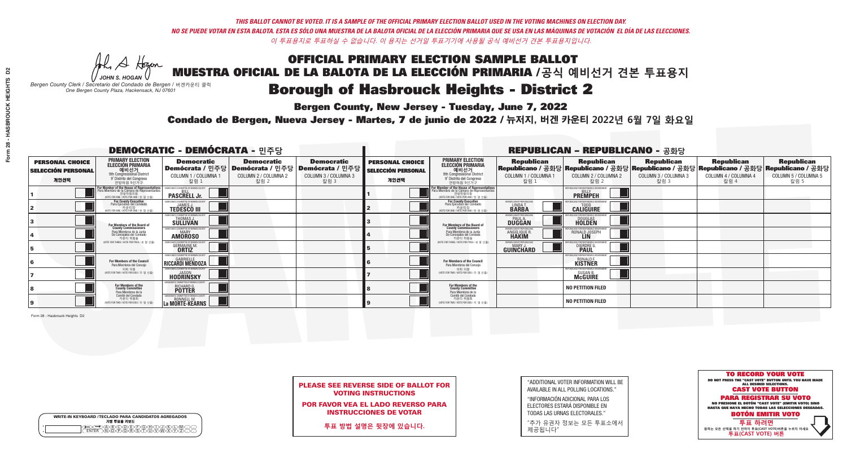A Hogen

**Bergen County, New Jersey - Tuesday, June 7, 2022** 

| <b>WRITE-IN KEYBOARD /TECLADO PARA CANDIDATOS AGREGADOS</b><br>기명 투표용 키보드 |  |
|---------------------------------------------------------------------------|--|
| <b>ABCODEFGAC</b><br>፞ <i>শ</i> িক কৰি কৰি কৰি                            |  |

*JOHN S. HOGAN Bergen County Clerk / Secretario del Condado de Bergen /* 버겐카운티 클럭 *One Bergen County Plaza, Hackensack, NJ 07601*

Condado de Bergen, Nueva Jersey - Martes, 7 de junio de 2022 / 뉴저지, 버겐 카운티 2022년 6월 7일 화요일 *One Bergen County Plaza, Hackensack, NJ 07601*



|  | <b>PLEASE SEE REVERSE SIDE OF BALLOT FOR</b> |  |  |
|--|----------------------------------------------|--|--|
|  | <b>VOTING INSTRUCTIONS</b>                   |  |  |

POR FAVOR VEA EL LADO REVERSO PARA INSTRUCCIONES DE VOTAR

**투표 방법 설명은 뒷장에 있습니다.**

| "ADDITIONAL VOTER INFORMATION WILL BE |
|---------------------------------------|
| AVAILABLE IN ALL POLLING LOCATIONS."  |

"INFORMACIÓN ADICIONAL PARA LOS ELECTORES ESTARÁ DISPONIBLE EN TODAS LAS URNAS ELECTORALES."

"추가 유권자 정보는 모든 투표소에서 제공됩니다"

| <b>DEMOCRATIC - DEMÓCRATA - 민주당</b>                         |                                                                                                                                                       |                                                                      |                                                                                       |                                                                        |                                                             |                                                                                                                                               |                                                          | <b>REPUBLICAN - REPUBLICANO - 공화당</b>                                 |                                                                                                                                                |                                                   |                                                   |
|-------------------------------------------------------------|-------------------------------------------------------------------------------------------------------------------------------------------------------|----------------------------------------------------------------------|---------------------------------------------------------------------------------------|------------------------------------------------------------------------|-------------------------------------------------------------|-----------------------------------------------------------------------------------------------------------------------------------------------|----------------------------------------------------------|-----------------------------------------------------------------------|------------------------------------------------------------------------------------------------------------------------------------------------|---------------------------------------------------|---------------------------------------------------|
| <b>PERSONAL CHOICE</b><br><b>SELECCIÓN PERSONAL</b><br>개인선택 | <b>PRIMARY ELECTION</b><br><b>ELECCIÓN PRIMARIA</b><br>예비선거<br>9th Congressional District<br>9° Distrito del Congreso<br>연방하원 9선거구                    | <b>Democratic</b><br>COLUMN 1 / COLUMNA 1<br>칼럼 1                    | <b>Democratic</b><br>│Demócrata / 민주당│Demócrata / 민주당<br>COLUMN 2 / COLUMNA 2<br>칼럼 2 | <b>Democratic</b><br>│Demócrata / 민주당│<br>COLUMN 3 / COLUMNA 3<br>칼럼 3 | <b>PERSONAL CHOICE</b><br><b>SELECCIÓN PERSONAL</b><br>개인선택 | <b>PRIMARY ELECTION</b><br>ELECCIÓN PRIMARIA<br>예비선거<br>9th Congressional District<br>9° Distrito del Congreso<br>연방하워 9선거구                   | <b>Republican</b><br>COLUMN 1 / COLUMNA 1<br>칼럼 1        | <b>Republican</b><br>COLUMN 2 / COLUMNA 2<br>칼럼.                      | <b>Republican</b><br>Republicano / 공화당 Republicano / 공화당 Republicano / 공화당 Republicano / 공화당 Republicano / 공화당<br>COLUMN 3 / COLUMNA 3<br>칼럼 3 | <b>Republican</b><br>COLUMN 4 / COLUMNA 4<br>칼럼 4 | <b>Republican</b><br>COLUMN 5 / COLUMNA 5<br>칼럼 5 |
|                                                             | <b>For Member of the House of Representatives<br/>Para Miembro de la Cámara de Representantes</b><br>연방하원의원<br>(VOTE FOR ONE / VOTE POR UNO / 한 명 선출) | EMOCRATIC COMMITTEE OF BERGEN COUNT<br><b>PASCRELL Jr.</b>           |                                                                                       |                                                                        |                                                             | For Member of the House of Representatives<br>Para Miembro de la Cámara de Representantes<br>연방하원의원<br>(VOTE FOR ONE / VOTE POR UNO / 한 명 선출) |                                                          | REPUBLICANS FOR RESPONSIBLE GOVERNME<br><b>BILI</b><br><b>PREMPEH</b> |                                                                                                                                                |                                                   |                                                   |
|                                                             | For County Executive<br>Para Ejecutivo del Condado<br>. 카운티장<br>(VOTE FOR ONE / VOTE POR UNO / 한 명 선출)                                                | EMOCRATIC COMMITTEE OF BERGEN COUNTY<br><b>TEDESCO III</b>           |                                                                                       |                                                                        |                                                             | <b>For County Executive</b><br>Para Ejecutivo del Condado<br>기운티장<br>(VOTE FOR ONE / VOTE POR UNO / 한명선출)                                     | BERGEN COUNTY REPUBLICAN:<br>LINDA T.                    | <b>CALIGUIRE</b>                                                      |                                                                                                                                                |                                                   |                                                   |
|                                                             | For Members of the Board of<br>County Commissioners                                                                                                   | EMOCRATIC COMMITTEE OF BERGEN COUNTY<br>THOMAS J<br><b>SÜLLIVAN</b>  |                                                                                       |                                                                        |                                                             | For Members of the Board of<br>County Commissioners                                                                                           | ERGEN COUNTY REPUBLICAN<br><b>PAULA</b><br><b>DUGGAN</b> | <b>DOUGLAS</b><br><b>HOLDEN</b>                                       |                                                                                                                                                |                                                   |                                                   |
|                                                             | Para Miembros de la Junta<br>De Concejales del Condado<br>카우티 위원들                                                                                     | MOCRATIC COMMITTEE OF BERGEN COUNTY<br><b>MARY</b><br><b>AMOROSO</b> |                                                                                       |                                                                        |                                                             | Para Miembros de la Junta<br>De Concejales del Condado<br>카운티 위원들                                                                             | RGEN COUNTY REPUBLICAN!<br><b>ANGELIQUE R<br/>HAKIM</b>  | RONALD JOSEPH<br><b>LIN</b>                                           |                                                                                                                                                |                                                   |                                                   |
|                                                             | (VOTE FOR THREE / VOTE POR TRES / 세 명 선출)                                                                                                             | DCRATIC COMMITTEE OF BERGEN CO<br><b>GERMAINE M.</b><br><b>ORTIZ</b> |                                                                                       |                                                                        |                                                             | NOTE FOR THREE / VOTE POR TRES / 세 명 선출                                                                                                       | BERGEN COUNTY REPUBLICANS<br>MARY J<br>GUINCHARD         | FOR RESPONSIBLE GC<br><b>DIERDRE</b>                                  |                                                                                                                                                |                                                   |                                                   |
|                                                             | For Members of the Council<br>Para Miembros del Concejo                                                                                               | EMOCRATIC COMMITTEE OF BERGEN COUNT<br>RICCARDI MENDOZA              |                                                                                       |                                                                        |                                                             | For Members of the Council<br>Para Miembros del Conceio                                                                                       |                                                          | PUBLICANS FOR RESPONSIBLE G<br>RONALD F.<br>KISTNER                   |                                                                                                                                                |                                                   |                                                   |
|                                                             | 의회 의원<br>(VOTE FOR TWO / VOTE POR DOS / 두 명 선출)                                                                                                       | <b>FMOCRATIC COMMITTEE OF BERGEN COUNTY</b><br><b>HODRINSKY</b>      |                                                                                       |                                                                        |                                                             | 의회 의원<br>NOTE FOR TWO / VOTE POR DOS / 두 명 선출)                                                                                                |                                                          | EPUBLICANS FOR RESPONSIBLE GOVERNMEN<br>SUSAN B.<br>McGUIRE           |                                                                                                                                                |                                                   |                                                   |
|                                                             | For Members of the<br>County Committee<br>Para Miembros de la<br>Comité del Condado                                                                   | ICRATIC COMMITTEE OF RERGEN COLINT<br>RICHARD G.                     |                                                                                       |                                                                        |                                                             | For Members of the<br>County Committee<br>Para Miembros de la<br>Comité del Condado                                                           |                                                          | <b>NO PETITION FILED</b>                                              |                                                                                                                                                |                                                   |                                                   |
|                                                             | 카운티 위원회<br>(VOTE FOR TWO / VOTE POR DOS / 두 명 선출                                                                                                      | MOCRATIC COMMITTEE OF RERGEN COUNT<br>RONNELL M.<br>a Mörte-Keärns L |                                                                                       |                                                                        |                                                             | 카운티 위원회<br>VOTE FOR TWO / VOTE POR DOS / 두 명 선출!                                                                                              |                                                          | <b>NO PETITION FILED</b>                                              |                                                                                                                                                |                                                   |                                                   |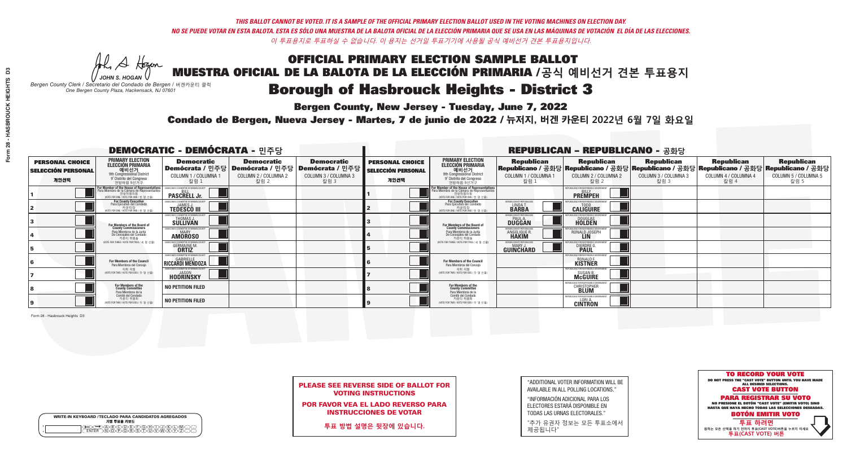A Hogen

**Bergen County, New Jersey - Tuesday, June 7, 2022** 

| <b>WRITE-IN KEYBOARD /TECLADO PARA CANDIDATOS AGREGADOS</b><br>기명 투표용 키보드 |  |
|---------------------------------------------------------------------------|--|
| E@®©®®®®®®©©®<br>EM®®®®®®©™™®®®<br><b>FNTFR</b>                           |  |

*JOHN S. HOGAN Bergen County Clerk / Secretario del Condado de Bergen /* 버겐카운티 클럭 *One Bergen County Plaza, Hackensack, NJ 07601*

Condado de Bergen, Nueva Jersey - Martes, 7 de junio de 2022 / 뉴저지, 버겐 카운티 2022년 6월 7일 화요일 *One Bergen County Plaza, Hackensack, NJ 07601*



|  | <b>PLEASE SEE REVERSE SIDE OF BALLOT FOR</b> |  |  |
|--|----------------------------------------------|--|--|
|  | <b>VOTING INSTRUCTIONS</b>                   |  |  |

POR FAVOR VEA EL LADO REVERSO PARA INSTRUCCIONES DE VOTAR

**투표 방법 설명은 뒷장에 있습니다.**

"ADDITIONAL VOTER INFORMATION WILL BE AVAILABLE IN ALL POLLING LOCATIONS."

"INFORMACIÓN ADICIONAL PARA LOS ELECTORES ESTARÁ DISPONIBLE EN TODAS LAS URNAS ELECTORALES."

"추가 유권자 정보는 모든 투표소에서 제공됩니다"

|                                                             |                                                                                                                                               | <b>DEMOCRATIC - DEMÓCRATA - 민주당</b>                                    |                                                                                       |                                                                      |                                                             |                                                                                                                                               |                                                                      | <b>REPUBLICAN - REPUBLICANO - 공화당</b>                                                                                                          |                                                   |                                                   |                                                   |
|-------------------------------------------------------------|-----------------------------------------------------------------------------------------------------------------------------------------------|------------------------------------------------------------------------|---------------------------------------------------------------------------------------|----------------------------------------------------------------------|-------------------------------------------------------------|-----------------------------------------------------------------------------------------------------------------------------------------------|----------------------------------------------------------------------|------------------------------------------------------------------------------------------------------------------------------------------------|---------------------------------------------------|---------------------------------------------------|---------------------------------------------------|
| <b>PERSONAL CHOICE</b><br><b>SELECCIÓN PERSONAL</b><br>개인선택 | <b>PRIMARY ELECTION</b><br><b>ELECCIÓN PRIMARIA</b><br>예비선거<br><sup>9th</sup> Congressional District<br>9° Distrito del Congreso<br>연방하원 9선거구 | <b>Democratic</b><br>COLUMN 1 / COLUMNA 1<br>칼럼 1                      | <b>Democratic</b><br>│Demócrata / 민주당│Demócrata / 민주당<br>COLUMN 2 / COLUMNA 2<br>칼럼 2 | <b>Democratic</b><br>Demócrata / 민주당<br>COLUMN 3 / COLUMNA 3<br>칼럼 3 | <b>PERSONAL CHOICE</b><br><b>SELECCIÓN PERSONAL</b><br>개인선택 | <b>PRIMARY ELECTION</b><br>ELECCIÓN PRIMARIA<br>9th Congressional District<br>9° Distrito del Congreso<br>연방하원 9선거구                           | <b>Republican</b><br>COLUMN 1 / COLUMNA 1<br>칼럼 1                    | <b>Republican</b><br>Republicano / 공화당 Republicano / 공화당 Republicano / 공화당 Republicano / 공화당 Republicano / 공화당<br>COLUMN 2 / COLUMNA 2<br>칼럼 2 | <b>Republican</b><br>COLUMN 3 / COLUMNA 3<br>칼럼 3 | <b>Republican</b><br>COLUMN 4 / COLUMNA 4<br>칼럼 4 | <b>Republican</b><br>COLUMN 5 / COLUMNA 5<br>칼럼 5 |
|                                                             | For Member of the House of Representatives<br>Para Miembro de la Cámara de Representantes<br>연방하원의원<br>(VOTE FOR ONE / VOTE POR UNO / 한 명 선출) | DEMOCRATIC COMMITTEE OF BERGEN COUNTY<br><b>PASCRELL Jr.</b>           |                                                                                       |                                                                      |                                                             | For Member of the House of Representatives<br>Para Miembro de la Cámara de Representantes<br>연방하원의원<br>(VOTE FOR ONE / VOTE POR UNO / 한 명 선출) |                                                                      | PUBLICANS FOR RESPONSIBLE GOVERNME!<br><b>PREMPEH</b>                                                                                          |                                                   |                                                   |                                                   |
|                                                             | For County Executive<br>Para Ejecutivo del Condado                                                                                            | EMOCRATIC COMMITTEE OF BERGEN COUNTY<br><b>TEDESCO III</b>             |                                                                                       |                                                                      |                                                             | For County Executive<br>Para Ejecutivo del Condado<br>7 카운티장<br>(VOTE FOR ONE / VOTE POR UNO / 한 명 선출)                                        | BERGEN COUNTY REPUBLICAN<br>LINDA T.<br><b>BARBA</b>                 | <b>CALIGUIRE</b>                                                                                                                               |                                                   |                                                   |                                                   |
|                                                             | <b>For Members of the Board of<br/>County Commissioners</b>                                                                                   | MOCRATIC COMMITTEE OF BERGEN COUNTY<br>THOMAS J.<br>SÜLLIVAN           |                                                                                       |                                                                      |                                                             | For Members of the Board of<br>County Commissioners                                                                                           | ERGEN COUNTY REPUBLICAN<br><b>PAUL A.</b><br><b>DUGGAN</b>           | <b>DOUGLAS</b><br><b>HOLDEN</b>                                                                                                                |                                                   |                                                   |                                                   |
|                                                             | Para Miembros de la Junta<br>De Concejales del Condado<br>카운티 위원들                                                                             | MOCRATIC COMMITTEE OF BERGEN COUNTY<br><b>MARY</b><br><b>AMOROSO</b>   |                                                                                       |                                                                      |                                                             | Para Miembros de la Junta<br>De Concejales del Condado<br>카운티 위원들                                                                             | <b>RGEN COUNTY REPUBLICAN:</b><br><b>ANGELIQUE R</b><br><b>HAKIM</b> | RONALD JOSEPH<br><b>LIN</b>                                                                                                                    |                                                   |                                                   |                                                   |
|                                                             | NOTE FOR THREE / VOTE POR TRES / 세 명 선출)                                                                                                      | AOCRATIC COMMITTEE OF BERGEN COU<br><b>GERMAINE M.</b><br><b>ORTIZ</b> |                                                                                       |                                                                      |                                                             | NOTE FOR THREE / VOTE POR TRES / 세 명 선출                                                                                                       | ERGEN COUNTY REPUBLICANS<br>MARY .I<br>GUINCHARD                     | <b>FOR RESPONSIBLE G</b><br><b>DIERDRE L</b>                                                                                                   |                                                   |                                                   |                                                   |
|                                                             | For Members of the Council<br>Para Miembros del Concejo                                                                                       | EMOCRATIC COMMITTEE OF BERGEN COUNT<br>RICCARDI MENDOZA                |                                                                                       |                                                                      |                                                             | For Members of the Council<br>Para Miembros del Concejo                                                                                       |                                                                      | RONALD F.<br>KISTNER                                                                                                                           |                                                   |                                                   |                                                   |
|                                                             | 의회 의원<br>(VOTE FOR TWO / VOTE POR DOS / 두 명 선출)                                                                                               | FMOCRATIC COMMITTEE OF BERGEN COUNTY.<br><b>HODRINSKY</b>              |                                                                                       |                                                                      |                                                             | 의회 의원<br>NOTE FOR TWO / VOTE POR DOS / 두 명 선출)                                                                                                |                                                                      | PUBLICANS FOR RESPONSIBLE GO<br>SUSAN B.<br>McGUIRE                                                                                            |                                                   |                                                   |                                                   |
|                                                             | For Members of the<br>County Committee<br>Para Miembros de la<br>Comité del Condado                                                           | <b>NO PETITION FILED</b>                                               |                                                                                       |                                                                      |                                                             | For Members of the<br>County Committee<br>Para Miembros de la<br>Comité del Condado                                                           |                                                                      | <b>CHRISTOPHER</b>                                                                                                                             |                                                   |                                                   |                                                   |
|                                                             | 카운티 위원회<br>NOTE FOR TWO / VOTE POR DOS / 두 명 선출)                                                                                              | <b>NO PETITION FILED</b>                                               |                                                                                       |                                                                      |                                                             | 카운티 위원회<br>(VOTE FOR TWO / VOTE POR DOS / 두 명 선출)                                                                                             |                                                                      | EPUBLICANS FOR RESPONSIBLE GOVERNMEN<br><b>CINTRON</b>                                                                                         |                                                   |                                                   |                                                   |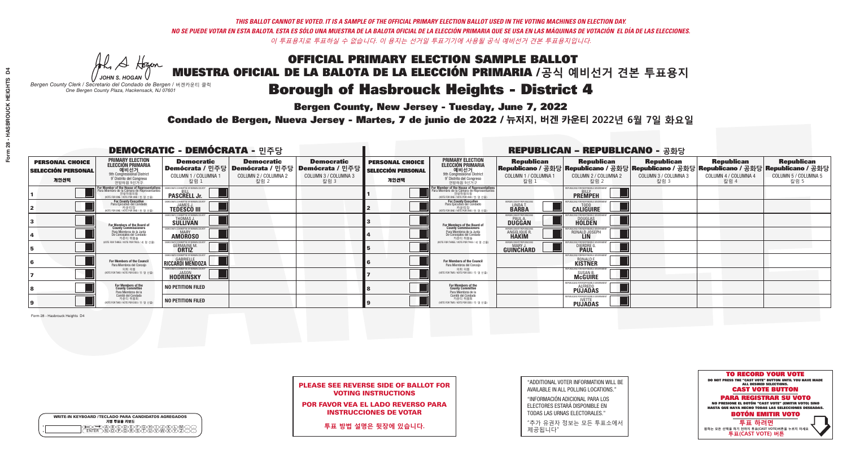**Bergen County, New Jersey - Tuesday, June 7, 2022** 

Al Stogan *JOHN S. HOGAN*

| <b>WRITE-IN KEYBOARD /TECLADO PARA CANDIDATOS AGREGADOS</b><br>기명 투표용 키보드 |  |
|---------------------------------------------------------------------------|--|
| @@@@@@@@@@@<br>\@@@@@@@@@@@@@                                             |  |

*Bergen County Clerk / Secretario del Condado de Bergen /* 버겐카운티 클럭 *One Bergen County Plaza, Hackensack, NJ 07601*

Condado de Bergen, Nueva Jersey - Martes, 7 de junio de 2022 / 뉴저지, 버겐 카운티 2022년 6월 7일 화요일 *One Bergen County Plaza, Hackensack, NJ 07601*



|                            | <b>PLEASE SEE REVERSE SIDE OF BALLOT FOR</b> |
|----------------------------|----------------------------------------------|
| <b>VOTING INSTRUCTIONS</b> |                                              |

POR FAVOR VEA EL LADO REVERSO PARA INSTRUCCIONES DE VOTAR

**투표 방법 설명은 뒷장에 있습니다.**

"ADDITIONAL VOTER INFORMATION WILL BE AVAILABLE IN ALL POLLING LOCATIONS."

"INFORMACIÓN ADICIONAL PARA LOS ELECTORES ESTARÁ DISPONIBLE EN TODAS LAS URNAS ELECTORALES."

"추가 유권자 정보는 모든 투표소에서 제공됩니다"

|                                                             |                                                                                                                                               | <b>DEMOCRATIC - DEMÓCRATA - 민주당</b>                                    |                                                   |                                                                                                        |                                                             |                                                                                                                                                       |                                                                       | <b>REPUBLICAN - REPUBLICANO - 공화당</b>                                                                                                          |                                                   |                                                   |                                                   |
|-------------------------------------------------------------|-----------------------------------------------------------------------------------------------------------------------------------------------|------------------------------------------------------------------------|---------------------------------------------------|--------------------------------------------------------------------------------------------------------|-------------------------------------------------------------|-------------------------------------------------------------------------------------------------------------------------------------------------------|-----------------------------------------------------------------------|------------------------------------------------------------------------------------------------------------------------------------------------|---------------------------------------------------|---------------------------------------------------|---------------------------------------------------|
| <b>PERSONAL CHOICE</b><br><b>SELECCIÓN PERSONAL</b><br>개인선택 | <b>PRIMARY ELECTION</b><br><b>ELECCIÓN PRIMARIA</b><br>예비선거<br><sup>9th</sup> Congressional District<br>9° Distrito del Congreso<br>연방하원 9선거구 | <b>Democratic</b><br>COLUMN 1 / COLUMNA 1<br>칼럼 1                      | <b>Democratic</b><br>COLUMN 2 / COLUMNA 2<br>칼럼 2 | <b>Democratic</b><br>│Demócrata / 민주당│Demócrata / 민주당│Demócrata / 민주당│<br>COLUMN 3 / COLUMNA 3<br>칼럼 3 | <b>PERSONAL CHOICE</b><br><b>SELECCIÓN PERSONAL</b><br>개인선택 | <b>PRIMARY ELECTION</b><br>ELECCIÓN PRIMARIA<br>9th Congressional District<br>9° Distrito del Congreso<br>연방하원 9선거구                                   | <b>Republican</b><br>COLUMN 1 / COLUMNA 1<br>│ 칼럼 L                   | <b>Republican</b><br>Republicano / 공화당 Republicano / 공화당 Republicano / 공화당 Republicano / 공화당 Republicano / 공화당<br>COLUMN 2 / COLUMNA 2<br>칼럼 2 | <b>Republican</b><br>COLUMN 3 / COLUMNA 3<br>칼럼 3 | <b>Republican</b><br>COLUMN 4 / COLUMNA 4<br>칼럼 4 | <b>Republican</b><br>COLUMN 5 / COLUMNA 5<br>칼럼 5 |
|                                                             | For Member of the House of Representatives<br>Para Miembro de la Cámara de Representantes<br>연방하원의원<br>(VOTE FOR ONE / VOTE POR UNO / 한 명 선출) | EMOCRATIC COMMITTEE OF BERGEN COUNTY<br><b>PASCRELL Jr.</b>            |                                                   |                                                                                                        |                                                             | <b>For Member of the House of Representatives<br/>Para Miembro de la Cámara de Representantes</b><br>연방하원의원<br>(VOTE FOR ONE / VOTE POR UNO / 한 명 선출) |                                                                       | PUBLICANS FOR RESPONSIBLE GOVERNME!<br><b>PREMPEH</b>                                                                                          |                                                   |                                                   |                                                   |
|                                                             | For County Executive<br>Para Ejecutivo del Condado<br>가운티장<br>(VOTE FOR ONE / VOTE POR UNO / 한 명 선출)                                          | FMOCRATIC COMMITTEE OF BERGEN COUNTY<br><b>TEDESCO III</b>             |                                                   |                                                                                                        |                                                             | For County Executive<br>Para Ejecutivo del Condado<br><sup>7</sup> 카운티장<br>(VOTE FOR ONE / VOTE POR UNO / 한 명 선출)                                     | BERGEN COUNTY REPUBLICAN<br>LINDA T<br><b>BARBA</b>                   | <b>CALIGUIRE</b>                                                                                                                               |                                                   |                                                   |                                                   |
|                                                             | For Members of the Board of<br>County Commissioners                                                                                           | MOCRATIC COMMITTEE OF BERGEN COUNTY<br>THOMAS J.                       |                                                   |                                                                                                        |                                                             | For Members of the Board of<br>County Commissioners                                                                                                   | ERGEN COUNTY REPUBLICAN<br><b>PAUL A.</b><br><b>DUGGAN</b>            | <b>DOUGLAS</b><br><b>HOLDEN</b>                                                                                                                |                                                   |                                                   |                                                   |
|                                                             | Para Miembros de la Junta<br>De Concejales del Condado<br>카운티 위원들                                                                             | CRATIC COMMITTEE OF BERGEN COUNT<br><b>MARY</b><br><b>AMOROSO</b>      |                                                   |                                                                                                        |                                                             | Para Miembros de la Junta<br>De Concejales del Condado<br>카우티 위원들                                                                                     | <b>FRGEN COUNTY REPUBLICAN:</b><br><b>ANGELIQUE R</b><br><b>HAKIM</b> | RONALD JOSEPH                                                                                                                                  |                                                   |                                                   |                                                   |
|                                                             | NOTE FOR THREE / VOTE POR TRES / 세 명 선출)                                                                                                      | OCRATIC COMMITTEE OF BERGEN COUN<br><b>GERMAINE M.</b><br><b>ORTIZ</b> |                                                   |                                                                                                        |                                                             | NOTE FOR THREE / VOTE POR TRES / 세 명 선출                                                                                                               | ERGEN COUNTY REPUBLICANS<br>MARY.<br>GUINCHARD                        | <b>FOR RESPONSIBLE G</b><br><b>DIERDRE L</b>                                                                                                   |                                                   |                                                   |                                                   |
|                                                             | For Members of the Council<br>Para Miembros del Conceio                                                                                       | EMOCRATIC COMMITTEE OF BERGEN COUNTY<br>RICCARDI MENDOZA               |                                                   |                                                                                                        |                                                             | For Members of the Council<br>Para Miembros del Concejo                                                                                               |                                                                       | IRI ICANS ENR RESPANSIRI E<br>RONALD F.<br>KISTNER                                                                                             |                                                   |                                                   |                                                   |
|                                                             | 의회 의원<br>NOTE FOR TWO / VOTE POR DOS / 두 명 선출)                                                                                                | FMOCRATIC COMMITTEE OF BERGEN COUNTY<br><b>HODRINSKY</b>               |                                                   |                                                                                                        |                                                             | 의회 의원<br>NOTE FOR TWO / VOTE POR DOS / 두 명 선출)                                                                                                        |                                                                       | PHRI ICANS ENR RESPONSIRI E (<br>SUSAN B.                                                                                                      |                                                   |                                                   |                                                   |
|                                                             | For Members of the<br>County Committee<br>Para Miembros de la<br>Comité del Condado                                                           | <b>NO PETITION FILED</b>                                               |                                                   |                                                                                                        |                                                             | For Members of the<br>County Committee<br>Para Miembros de la<br>Comité del Condado                                                                   |                                                                       | <b>PUJADAS</b>                                                                                                                                 |                                                   |                                                   |                                                   |
|                                                             | 카운티 위원회<br>NOTE FOR TWO / VOTE POR DOS / 두 명 선출)                                                                                              | <b>NO PETITION FILED</b>                                               |                                                   |                                                                                                        |                                                             | 카운티 위원회<br>(VOTE FOR TWO / VOTE POR DOS / 두 명 선출)                                                                                                     |                                                                       | PUBLICANS FOR RESPONSIBLE GOVERNMENT<br><b>PUJADAS</b>                                                                                         |                                                   |                                                   |                                                   |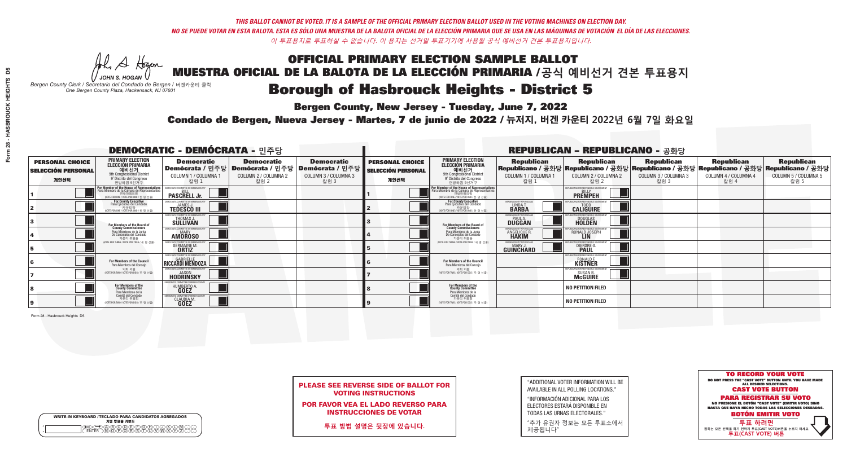A Hogen

**Bergen County, New Jersey - Tuesday, June 7, 2022** 

| <b>WRITE-IN KEYBOARD /TECLADO PARA CANDIDATOS AGREGADOS</b><br>기명 투표용 키보드 |  |
|---------------------------------------------------------------------------|--|
| )ABCODE(F)G(H)DD(K<br><b>ጒ፝፟፟፟፟</b> ፟፝፟፟፟፝ዀዂ፝ጞጞጞ                          |  |

*JOHN S. HOGAN Bergen County Clerk / Secretario del Condado de Bergen /* 버겐카운티 클럭 *One Bergen County Plaza, Hackensack, NJ 07601*

Condado de Bergen, Nueva Jersey - Martes, 7 de junio de 2022 / 뉴저지, 버겐 카운티 2022년 6월 7일 화요일 *One Bergen County Plaza, Hackensack, NJ 07601*



PLEASE SEE REVERSE SIDE OF BALLOT FOR VOTING INSTRUCTIONS

POR FAVOR VEA EL LADO REVERSO PARA INSTRUCCIONES DE VOTAR

**투표 방법 설명은 뒷장에 있습니다.**

| "ADDITIONAL VOTER INFORMATION WILL BE |
|---------------------------------------|
| AVAILABLE IN ALL POLLING LOCATIONS."  |

"INFORMACIÓN ADICIONAL PARA LOS ELECTORES ESTARÁ DISPONIBLE EN TODAS LAS URNAS ELECTORALES."

"추가 유권자 정보는 모든 투표소에서 제공됩니다"

|                                                             |                                                                                                                                                       | <b>DEMOCRATIC - DEMÓCRATA - 민주당</b>                                 |                                                                                       |                                                                      |                                                             |                                                                                                                                               |                                                   | <b>REPUBLICAN - REPUBLICANO - 공화당</b>                                                                                                        |                                                   |                                                   |                                                   |
|-------------------------------------------------------------|-------------------------------------------------------------------------------------------------------------------------------------------------------|---------------------------------------------------------------------|---------------------------------------------------------------------------------------|----------------------------------------------------------------------|-------------------------------------------------------------|-----------------------------------------------------------------------------------------------------------------------------------------------|---------------------------------------------------|----------------------------------------------------------------------------------------------------------------------------------------------|---------------------------------------------------|---------------------------------------------------|---------------------------------------------------|
| <b>PERSONAL CHOICE</b><br><b>SELECCIÓN PERSONAL</b><br>개인선택 | <b>PRIMARY ELECTION</b><br><b>ELECCIÓN PRIMARIA</b><br>예비선거<br>9th Congressional District<br>9° Distrito del Congreso<br>연방하원 9선거구                    | <b>Democratic</b><br>COLUMN 1 / COLUMNA 1<br>칼럼 1                   | <b>Democratic</b><br>│Demócrata / 민주당│Demócrata / 민주당<br>COLUMN 2 / COLUMNA 2<br>칼럼 2 | <b>Democratic</b><br>Demócrata / 민주당<br>COLUMN 3 / COLUMNA 3<br>칼럼 3 | <b>PERSONAL CHOICE</b><br><b>SELECCIÓN PERSONAL</b><br>개인선택 | <b>PRIMARY ELECTION</b><br>ELECCIÓN PRIMARIA<br>예비선거<br>9th Congressional District<br>9° Distrito del Congreso<br>연방하원 9선거구                   | <b>Republican</b><br>COLUMN 1 / COLUMNA 1<br>칼럼 : | <b>Republican</b><br>Republicano / 공화당 Republicano / 공화당 Republicano / 공화당 Republicano / 공화당 Republicano / 공화당<br>COLUMN 2 / COLUMNA 2<br>칼럼 | <b>Republican</b><br>COLUMN 3 / COLUMNA 3<br>칼럼 3 | <b>Republican</b><br>COLUMN 4 / COLUMNA 4<br>칼럼 4 | <b>Republican</b><br>COLUMN 5 / COLUMNA 5<br>칼럼 5 |
|                                                             | <b>For Member of the House of Representatives<br/>Para Miembro de la Cámara de Representantes</b><br>연방하원의원<br>(VOTE FOR ONE / VOTE POR UNO / 한 명 선출) | EMOCRATIC COMMITTEE OF BERGEN COUNTY<br><b>PASCRELL Jr.</b>         |                                                                                       |                                                                      |                                                             | For Member of the House of Representatives<br>Para Miembro de la Cámara de Representantes<br>연방하원의원<br>(VOTE FOR ONE / VOTE POR UNO / 한 명 선출) |                                                   | <b>EPUBLICANS FOR RESPONSIBLE GOVERNMEN</b><br><b>PREMPEH</b>                                                                                |                                                   |                                                   |                                                   |
|                                                             | For County Executive<br>Para Ejecutivo del Condado<br>(VOTE FOR ONE / VOTE POR UNO / 한 명 선출)                                                          | EMOCRATIC COMMITTEE OF BERGEN COUNTY<br><b>TEDESCO III</b>          |                                                                                       |                                                                      |                                                             | <b>For County Executive</b><br>Para Ejecutivo del Condado<br>7 카운티장<br>(VOTE FOR ONE / VOTE POR UNO / 한 명 선출)                                 | BERGEN COUNTY REPUBLICAN<br>LINDA T.              | <b>CALIGUIRE</b>                                                                                                                             |                                                   |                                                   |                                                   |
|                                                             | For Members of the Board of<br>County Commissioners                                                                                                   | EMOCRATIC COMMITTEE OF BERGEN COUNTY<br>THOMAS J.                   |                                                                                       |                                                                      |                                                             | For Members of the Board of<br>County Commissioners                                                                                           | ERGEN COUNTY REPUBLICAN<br><b>DUGGAN</b>          | <b>DOUGLAS</b>                                                                                                                               |                                                   |                                                   |                                                   |
|                                                             | Para Miembros de la Junta<br>De Concejales del Condado<br>카운티 위원들                                                                                     | MOCRATIC COMMITTEE OF BERGEN COUNT<br><b>MARY</b><br><b>AMOROSO</b> |                                                                                       |                                                                      |                                                             | Para Miembros de la Junta<br>De Concejales del Condado<br>카운티 위원들                                                                             | ERGEN COUNTY REPUBLICAN<br>ANGELIQUE R            | RONALD JOSEPH<br><b>LIN</b>                                                                                                                  |                                                   |                                                   |                                                   |
|                                                             | (VOTE FOR THREE / VOTE POR TRES / 세 명 선출)                                                                                                             | <b>IOCRATIC COMMITTEE OF BERGEN C</b><br><b>GERMAINE M.</b>         |                                                                                       |                                                                      |                                                             | NOTE FOR THREE / VOTE POR TRES / 세 명 선출                                                                                                       | BERGEN COUNTY REPUBLICANS<br>MARY J<br>GUINCHARD  | BLICANS FOR RESPONSIBLE GL<br><b>DIERDRE</b>                                                                                                 |                                                   |                                                   |                                                   |
|                                                             | For Members of the Council<br>Para Miembros del Concejo                                                                                               | <b>EMOCRATIC COMMITTEE OF BERGEN COUNT</b><br>RICCARDI MENDOZA      |                                                                                       |                                                                      |                                                             | <b>For Members of the Council</b><br>Para Miembros del Concejo                                                                                |                                                   | 'UBI ICANS FOR RESPONSIBI E GO<br>RONALD F.<br>KISTNER                                                                                       |                                                   |                                                   |                                                   |
|                                                             | 의회 의워<br>(VOTE FOR TWO / VOTE POR DOS / 두 명 선출)                                                                                                       | <b>EMOCRATIC COMMITTEE OF BEBGEN COUNTY</b><br><b>HODRINSKY</b>     |                                                                                       |                                                                      |                                                             | 의회 의원<br>NOTE FOR TWO / VOTE POR DOS / 두 명 선출)                                                                                                |                                                   | PUBLICANS FOR RESPONSIBLE GOVERNMEN<br>SUSAN B.<br>McGUIRE                                                                                   |                                                   |                                                   |                                                   |
|                                                             | For Members of the<br>County Committee<br>Para Miembros de la<br>Comité del Condado                                                                   | ICRATIC COMMITTEE OF RERGEN CO<br>HUMBERTO A                        |                                                                                       |                                                                      |                                                             | For Members of the<br>County Committee<br>Para Miembros de la<br>Comité del Condado                                                           |                                                   | <b>NO PETITION FILED</b>                                                                                                                     |                                                   |                                                   |                                                   |
|                                                             | 카운티 위원회<br>(VOTE FOR TWO / VOTE POR DOS / 두 명 선출)                                                                                                     | MOCRATIC COMMITTEE OF BERGEN<br><b>CLAUDIA M</b><br><b>GOEZ</b>     |                                                                                       |                                                                      |                                                             | 카운티 위원회<br>NOTE FOR TWO / VOTE POR DOS / 두 명 선출)                                                                                              |                                                   | <b>NO PETITION FILED</b>                                                                                                                     |                                                   |                                                   |                                                   |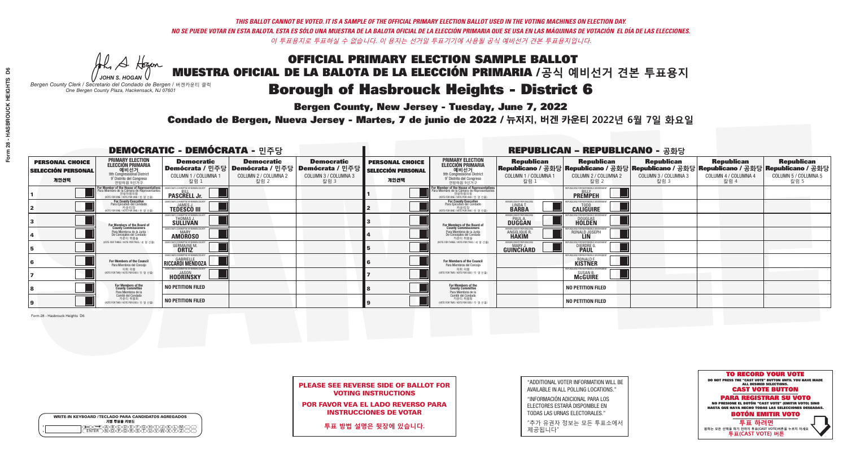**Bergen County, New Jersey - Tuesday, June 7, 2022** 

A Hogen *JOHN S. HOGAN*

| <b>WRITE-IN KEYBOARD /TECLADO PARA CANDIDATOS AGREGADOS</b><br>기명 투표용 키보드 |  |
|---------------------------------------------------------------------------|--|
| A®©®®©©®®©©®<br>™™™®®®®©™™™®                                              |  |

*Bergen County Clerk / Secretario del Condado de Bergen /* 버겐카운티 클럭 *One Bergen County Plaza, Hackensack, NJ 07601*

Condado de Bergen, Nueva Jersey - Martes, 7 de junio de 2022 / 뉴저지, 버겐 카운티 2022년 6월 7일 화요일 *One Bergen County Plaza, Hackensack, NJ 07601*



|  | <b>PLEASE SEE REVERSE SIDE OF BALLOT FOR</b> |  |  |
|--|----------------------------------------------|--|--|
|  | <b>VOTING INSTRUCTIONS</b>                   |  |  |

POR FAVOR VEA EL LADO REVERSO PARA INSTRUCCIONES DE VOTAR

**투표 방법 설명은 뒷장에 있습니다.**

| "ADDITIONAL VOTER INFORMATION WILL BE |
|---------------------------------------|
| AVAILABLE IN ALL POLLING LOCATIONS."  |

"INFORMACIÓN ADICIONAL PARA LOS ELECTORES ESTARÁ DISPONIBLE EN TODAS LAS URNAS ELECTORALES."

"추가 유권자 정보는 모든 투표소에서 제공됩니다"

|                                                             |                                                                                                                                               | <b>DEMOCRATIC - DEMÓCRATA - 민주당</b>                                  |                                                   |                                                                                                              |                                                             |                                                                                                                                               |                                                            | <b>REPUBLICAN - REPUBLICANO - 공화당</b>                                                                                                          |                                                   |                                                   |                                                   |
|-------------------------------------------------------------|-----------------------------------------------------------------------------------------------------------------------------------------------|----------------------------------------------------------------------|---------------------------------------------------|--------------------------------------------------------------------------------------------------------------|-------------------------------------------------------------|-----------------------------------------------------------------------------------------------------------------------------------------------|------------------------------------------------------------|------------------------------------------------------------------------------------------------------------------------------------------------|---------------------------------------------------|---------------------------------------------------|---------------------------------------------------|
| <b>PERSONAL CHOICE</b><br><b>SELECCIÓN PERSONAL</b><br>개인선택 | <b>PRIMARY ELECTION</b><br><b>ELECCIÓN PRIMARIA</b><br>예비선거<br><sup>9th</sup> Congressional District<br>9° Distrito del Congreso<br>연방하원 9선거구 | <b>Democratic</b><br>COLUMN 1 / COLUMNA 1<br>칼럼 1                    | <b>Democratic</b><br>COLUMN 2 / COLUMNA 2<br>칼럼 2 | <b>Democratic</b><br>  Demócrata / 민주당   Demócrata / 민주당   Demócrata / 민주당  <br>COLUMN 3 / COLUMNA 3<br>칼럼 3 | <b>PERSONAL CHOICE</b><br><b>SELECCIÓN PERSONAL</b><br>개인선택 | <b>PRIMARY ELECTION</b><br>ELECCIÓN PRIMARIA<br>예비선거<br>9th Congressional District<br>9° Distrito del Congreso<br>연방하워 9선거구                   | <b>Republican</b><br>COLUMN 1 / COLUMNA 1<br>칼럼 :          | <b>Republican</b><br>Republicano / 공화당 Republicano / 공화당 Republicano / 공화당 Republicano / 공화당 Republicano / 공화당<br>COLUMN 2 / COLUMNA 2<br>칼럼 2 | <b>Republican</b><br>COLUMN 3 / COLUMNA 3<br>칼럼 3 | <b>Republican</b><br>COLUMN 4 / COLUMNA 4<br>칼럼 4 | <b>Republican</b><br>COLUMN 5 / COLUMNA 5<br>칼럼 5 |
|                                                             | For Member of the House of Representatives<br>a Miembro de la Cámara de Representante<br>연방하원의원<br>(VOTE FOR ONE / VOTE POR UNO / 한 명 선출)     | EMOCRATIC COMMITTEE OF BERGEN COUNT<br><b>PASCRELL Jr.</b>           |                                                   |                                                                                                              |                                                             | For Member of the House of Representatives<br>Para Miembro de la Cámara de Representantes<br>연방하원의원<br>(VOTE FOR ONE / VOTE POR UNO / 한 명 선출) |                                                            | PUBLICANS FOR RESPONSIBLE GOVERNM<br><b>PREMPEH</b>                                                                                            |                                                   |                                                   |                                                   |
|                                                             | For County Executive<br>Para Ejecutivo del Condado<br>가운티장<br>(VOTE FOR ONE / VOTE POR UNO / 한 명 선출)                                          | JEMOCRATIC COMMITTEE OF BERGEN COUNTY<br><b>TEDESCO III</b>          |                                                   |                                                                                                              |                                                             | For County Executive<br>Para Ejecutivo del Condado<br>│ 카운티장<br>(VOTE FOR ONE / VOTE POR UNO / 한 명 선출)                                        | BERGEN COUNTY REPUBLICAN<br>LINDA T.                       | <b>CALIGUIRE</b>                                                                                                                               |                                                   |                                                   |                                                   |
|                                                             | For Members of the Board of<br>County Commissioners                                                                                           | EMOCRATIC COMMITTEE OF BERGEN COUNTY<br>THOMAS J.                    |                                                   |                                                                                                              |                                                             | For Members of the Board of<br>County Commissioners                                                                                           | ERGEN COUNTY REPUBLICAN<br><b>PAUL A.</b><br><b>DUGGAN</b> | <b>DOUGLAS</b><br><b>HOLDEN</b>                                                                                                                |                                                   |                                                   |                                                   |
|                                                             | Para Miembros de la Junta<br>De Concejales del Condado<br>카우티 위원들                                                                             | MOCRATIC COMMITTEE OF BERGEN COUNTY<br><b>MARY</b><br><b>AMOROSO</b> |                                                   |                                                                                                              |                                                             | Para Miembros de la Junta<br>De Concejales del Condado<br>카우티 위원들                                                                             | ERGEN COUNTY REPUBLICAN<br>ANGELIQUE R                     | RONALD JOSEPH                                                                                                                                  |                                                   |                                                   |                                                   |
|                                                             | (VOTE FOR THREE / VOTE POR TRES / 세 명 선출)                                                                                                     | ICRATIC COMMITTEE OF BERGEN CO<br><b>GERMAINE M.</b><br><b>ORTIZ</b> |                                                   |                                                                                                              |                                                             | (VOTE FOR THREE / VOTE POR TRES / 세 명 선출)                                                                                                     | BERGEN COUNTY REPUBLICANS<br>MARY J<br>GUINCHARD           | FOR RESPONSIBLE GO<br><b>DIERDRE</b> O                                                                                                         |                                                   |                                                   |                                                   |
|                                                             | For Members of the Council<br>Para Miembros del Concejo                                                                                       | EMOCRATIC COMMITTEE OF BERGEN COUNT<br>RICCARDI MENDOZA              |                                                   |                                                                                                              |                                                             | <b>For Members of the Council</b><br>Para Miembros del Conceio                                                                                |                                                            | PUBLICANS FOR RESPONSIBLE GO<br>RONALD F.<br>KISTNER                                                                                           |                                                   |                                                   |                                                   |
|                                                             | 의회 의원<br>NOTE FOR TWO / VOTE POR DOS / 두 명 선출)                                                                                                | FMOCRATIC COMMITTEE OF BERGEN COUNTY<br><b>HODRINSKY</b>             |                                                   |                                                                                                              |                                                             | 의회 의원<br>WOTE FOR TWO / VOTE POR DOS / 두 명 선출)                                                                                                |                                                            | PUBLICANS FOR RESPONSIBLE GOVE<br><b>SUSAN B.</b><br>McGUIRE                                                                                   |                                                   |                                                   |                                                   |
|                                                             | For Members of the<br>County Committee<br>Para Miembros de la<br>Comité del Condado                                                           | <b>NO PETITION FILED</b>                                             |                                                   |                                                                                                              |                                                             | For Members of the<br>County Committee<br>Para Miembros de la<br>Comité del Condado                                                           |                                                            | <b>NO PETITION FILED</b>                                                                                                                       |                                                   |                                                   |                                                   |
|                                                             | 카운티 위원회<br>(VOTE FOR TWO / VOTE POR DOS / 두 명 선출)                                                                                             | <b>NO PETITION FILED</b>                                             |                                                   |                                                                                                              |                                                             | 카운티 위원회<br>WOTE FOR TWO / VOTE POR DOS / 두 명 선출)                                                                                              |                                                            | <b>NO PETITION FILED</b>                                                                                                                       |                                                   |                                                   |                                                   |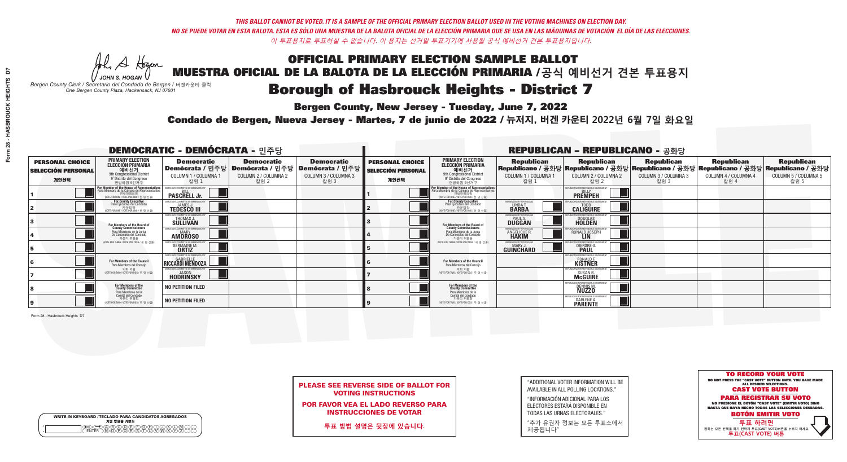**Bergen County, New Jersey - Tuesday, June 7, 2022** 

H A Hogan *JOHN S. HOGAN*

| <b>WRITE-IN KEYBOARD /TECLADO PARA CANDIDATOS AGREGADOS</b><br>기명 투표용 키보드 |  |
|---------------------------------------------------------------------------|--|
| A®©®®©©®®©©®<br>™™™®®®®©™™™®                                              |  |

*Bergen County Clerk / Secretario del Condado de Bergen /* 버겐카운티 클럭 *One Bergen County Plaza, Hackensack, NJ 07601*

Condado de Bergen, Nueva Jersey - Martes, 7 de junio de 2022 / 뉴저지, 버겐 카운티 2022년 6월 7일 화요일 *One Bergen County Plaza, Hackensack, NJ 07601*



|                            | <b>PLEASE SEE REVERSE SIDE OF BALLOT FOR</b> |
|----------------------------|----------------------------------------------|
| <b>VOTING INSTRUCTIONS</b> |                                              |

POR FAVOR VEA EL LADO REVERSO PARA INSTRUCCIONES DE VOTAR

**투표 방법 설명은 뒷장에 있습니다.**

"ADDITIONAL VOTER INFORMATION WILL BE AVAILABLE IN ALL POLLING LOCATIONS."

"INFORMACIÓN ADICIONAL PARA LOS ELECTORES ESTARÁ DISPONIBLE EN TODAS LAS URNAS ELECTORALES."

"추가 유권자 정보는 모든 투표소에서 제공됩니다"

|                                                             |                                                                                                                                               | <b>DEMOCRATIC - DEMÓCRATA - 민주당</b>                                  |                                                   |                                                                                                        |                                                             |                                                                                                                                                       |                                                            | <b>REPUBLICAN - REPUBLICANO - 공화당</b>                                                                                                           |                                                   |                                                   |                                                   |
|-------------------------------------------------------------|-----------------------------------------------------------------------------------------------------------------------------------------------|----------------------------------------------------------------------|---------------------------------------------------|--------------------------------------------------------------------------------------------------------|-------------------------------------------------------------|-------------------------------------------------------------------------------------------------------------------------------------------------------|------------------------------------------------------------|-------------------------------------------------------------------------------------------------------------------------------------------------|---------------------------------------------------|---------------------------------------------------|---------------------------------------------------|
| <b>PERSONAL CHOICE</b><br><b>SELECCIÓN PERSONAL</b><br>개인선택 | <b>PRIMARY ELECTION</b><br><b>ELECCIÓN PRIMARIA</b><br>예비선거<br><sup>9th</sup> Congressional District<br>9° Distrito del Congreso<br>연방하원 9선거구 | <b>Democratic</b><br>COLUMN 1 / COLUMNA 1<br>칼럼 1                    | <b>Democratic</b><br>COLUMN 2 / COLUMNA 2<br>칼럼 2 | <b>Democratic</b><br>│Demócrata / 민주당│Demócrata / 민주당│Demócrata / 민주당│<br>COLUMN 3 / COLUMNA 3<br>칼럼 3 | <b>PERSONAL CHOICE</b><br><b>SELECCIÓN PERSONAL</b><br>개인선택 | <b>PRIMARY ELECTION</b><br>ELECCIÓN PRIMARIA<br>9th Congressional District<br>9° Distrito del Congreso<br>연방하원 9선거구                                   | <b>Republican</b><br>COLUMN 1 / COLUMNA 1<br>참럼 1          | <b>Republican</b><br>Republicano / 공화당 Republicano / 공화당 Republicano / 공화당 Republicano / 공화당 Republicano / 공화당<br>COLUMN 2 / COLUMNA 2<br>·칼럼 2 | <b>Republican</b><br>COLUMN 3 / COLUMNA 3<br>칼럼 3 | <b>Republican</b><br>COLUMN 4 / COLUMNA 4<br>칼럼 4 | <b>Republican</b><br>COLUMN 5 / COLUMNA 5<br>칼럼 5 |
|                                                             | For Member of the House of Representatives<br>a Miembro de la Cámara de Representante<br>연방하원의원<br>(VOTE FOR ONE / VOTE POR UNO / 한 명 선출)     | EMOCRATIC COMMITTEE OF BERGEN COUNTY<br><b>PASCRELL Jr.</b>          |                                                   |                                                                                                        |                                                             | <b>For Member of the House of Representatives<br/>Para Miembro de la Cámara de Representantes</b><br>연방하원의원<br>(VOTE FOR ONE / VOTE POR UNO / 한 명 선출) |                                                            | PUBLICANS FOR RESPONSIBLE GOVERNMEN<br><b>PREMPEH</b>                                                                                           |                                                   |                                                   |                                                   |
|                                                             | For County Executive<br>Para Ejecutivo del Condado<br>. 카운티장<br>(VOTE FOR ONE / VOTE POR UNO / 한 명 선출)                                        | <b>FMOCRATIC COMMITTEE OF BERGEN COUNTY</b><br><b>TEDESCO III</b>    |                                                   |                                                                                                        |                                                             | For County Executive<br>Para Ejecutivo del Condado<br>7) 카운티장<br>(VOTE FOR ONE / VOTE POR UNO / 한 명 선출)                                               | BERGEN COUNTY REPUBLICAN<br>LINDA T<br><b>BARBA</b>        | <b>CALIGUIRE</b>                                                                                                                                |                                                   |                                                   |                                                   |
|                                                             | For Members of the Board of<br>County Commissioners                                                                                           | MOCRATIC COMMITTEE OF BERGEN COUNTY<br>THOMAS J.                     |                                                   |                                                                                                        |                                                             | For Members of the Board of<br>County Commissioners                                                                                                   | ERGEN COUNTY REPUBLICAN<br><b>PAUL A.</b><br><b>DUGGAN</b> | <b>DOUGLAS</b><br><b>HOLDEN</b>                                                                                                                 |                                                   |                                                   |                                                   |
|                                                             | Para Miembros de la Junta<br>De Concejales del Condado<br>카우티 위원들                                                                             | MOCRATIC COMMITTEE OF BERGEN COUNTY<br><b>MARY</b><br><b>AMOROSO</b> |                                                   |                                                                                                        |                                                             | Para Miembros de la Junta<br>De Concejales del Condado<br>카운티 위원들                                                                                     | ERGEN COUNTY REPUBLICAN<br><b>ANGELIQUE R<br/>HAKIM</b>    | RONALD JOSEPH                                                                                                                                   |                                                   |                                                   |                                                   |
|                                                             | NOTE FOR THREE / VOTE POR TRES / 세 명 선출)                                                                                                      | 10CRATIC COMMITTEE OF BEBGEN CO<br><b>GERMAINE M</b>                 |                                                   |                                                                                                        |                                                             | NOTE FOR THREE / VOTE POR TRES / 세 명 선출)                                                                                                              | ERGEN COUNTY REPUBLICANS<br>MARY.<br>GUINCHARD             | <b>DIERDRE</b>                                                                                                                                  |                                                   |                                                   |                                                   |
|                                                             | <b>For Members of the Council</b><br>Para Miembros del Concejo                                                                                | EMOCRATIC COMMITTEE OF BERGEN COUNTY<br>RICCARDI MENDOZA             |                                                   |                                                                                                        |                                                             | <b>For Members of the Council</b><br>Para Miembros del Conceio                                                                                        |                                                            | RONALD F.                                                                                                                                       |                                                   |                                                   |                                                   |
|                                                             | 의회 의원<br>(VOTE FOR TWO / VOTE POR DOS / 두 명 선출)                                                                                               | FMOCRATIC COMMITTEE OF BERGEN COUNTY<br><b>HODRINSKY</b>             |                                                   |                                                                                                        |                                                             | 의회 의원<br>WOTE FOR TWO / VOTE POR DOS / 두 명 선출)                                                                                                        |                                                            | PUBLICANS FOR RESPONSIBLE (<br>SUSAN B.<br>McGUIRE                                                                                              |                                                   |                                                   |                                                   |
|                                                             | For Members of the<br>County Committee<br>Para Miembros de la<br>Comité del Condado                                                           | <b>NO PETITION FILED</b>                                             |                                                   |                                                                                                        |                                                             | For Members of the<br>County Committee<br>Para Miembros de la<br>Comité del Condado                                                                   |                                                            | DENNIS M.                                                                                                                                       |                                                   |                                                   |                                                   |
|                                                             | 카운티 위원회<br>WOTE FOR TWO / VOTE POR DOS / 두 명 선출)                                                                                              | <b>NO PETITION FILED</b>                                             |                                                   |                                                                                                        |                                                             | 카운티 위원회<br>(VOTE FOR TWO / VOTE POR DOS / 두 명 선출)                                                                                                     |                                                            | PUBLICANS FOR RESPONSIBLE<br>DARLENE A.<br><b>PARENTE</b>                                                                                       |                                                   |                                                   |                                                   |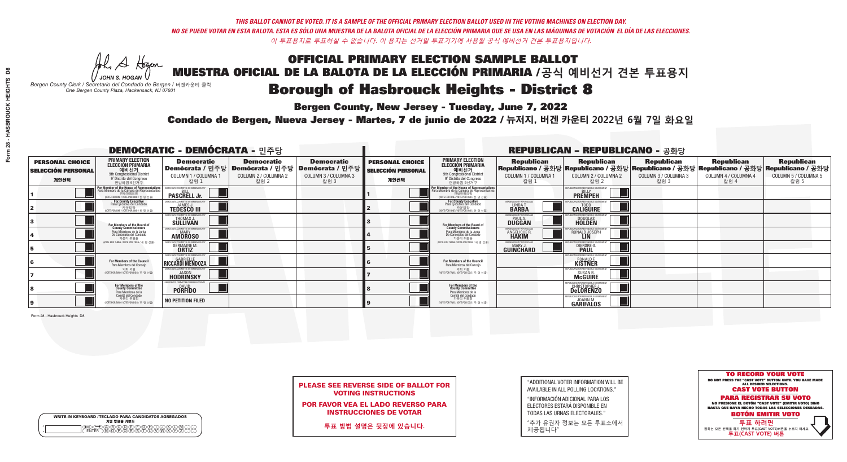**Bergen County, New Jersey - Tuesday, June 7, 2022** 

A Hogen *JOHN S. HOGAN*

| <b>WRITE-IN KEYBOARD /TECLADO PARA CANDIDATOS AGREGADOS</b><br>기명 투표용 키보드 |  |
|---------------------------------------------------------------------------|--|
| @@@@@@@@@@@<br>\@@@@@@@@@@@@@                                             |  |

*Bergen County Clerk / Secretario del Condado de Bergen /* 버겐카운티 클럭 *One Bergen County Plaza, Hackensack, NJ 07601*

Condado de Bergen, Nueva Jersey - Martes, 7 de junio de 2022 / 뉴저지, 버겐 카운티 2022년 6월 7일 화요일 *One Bergen County Plaza, Hackensack, NJ 07601*



| <b>PLEASE SEE REVERSE SIDE OF BALLOT FOR</b> |
|----------------------------------------------|
| <b>VOTING INSTRUCTIONS</b>                   |

POR FAVOR VEA EL LADO REVERSO PARA INSTRUCCIONES DE VOTAR

**투표 방법 설명은 뒷장에 있습니다.**

"ADDITIONAL VOTER INFORMATION WILL BE AVAILABLE IN ALL POLLING LOCATIONS."

"INFORMACIÓN ADICIONAL PARA LOS ELECTORES ESTARÁ DISPONIBLE EN TODAS LAS URNAS ELECTORALES."

"추가 유권자 정보는 모든 투표소에서 제공됩니다"

| <b>DEMOCRATIC - DEMÓCRATA - 민주당</b>                         |                                                                                                                                               |                                                                       |                                                   |                                                                                                        | <b>REPUBLICAN - REPUBLICANO - 공화당</b>                       |                                                                                                                                               |                                                   |                                                               |                                                                                                                                                |                                                   |                                                   |
|-------------------------------------------------------------|-----------------------------------------------------------------------------------------------------------------------------------------------|-----------------------------------------------------------------------|---------------------------------------------------|--------------------------------------------------------------------------------------------------------|-------------------------------------------------------------|-----------------------------------------------------------------------------------------------------------------------------------------------|---------------------------------------------------|---------------------------------------------------------------|------------------------------------------------------------------------------------------------------------------------------------------------|---------------------------------------------------|---------------------------------------------------|
| <b>PERSONAL CHOICE</b><br><b>SELECCIÓN PERSONAL</b><br>개인선택 | <b>PRIMARY ELECTION</b><br><b>ELECCIÓN PRIMARIA</b><br>예비선거<br><sup>9th</sup> Congressional District<br>9° Distrito del Congreso<br>연방하원 9선거구 | <b>Democratic</b><br>COLUMN 1 / COLUMNA 1<br>칼럼 1                     | <b>Democratic</b><br>COLUMN 2 / COLUMNA 2<br>칼럼 2 | <b>Democratic</b><br>│Demócrata / 민주당│Demócrata / 민주당│Demócrata / 민주당│<br>COLUMN 3 / COLUMNA 3<br>칼럼 3 | <b>PERSONAL CHOICE</b><br><b>SELECCIÓN PERSONAL</b><br>개인선택 | <b>PRIMARY ELECTION</b><br>ELECCIÓN PRIMARIA<br>예비선거<br>9th Congressional District<br>9° Distrito del Congreso<br>연방하원 9선거구                   | <b>Republican</b><br>COLUMN 1 / COLUMNA 1<br>칼럼 : | <b>Republican</b><br>COLUMN 2 / COLUMNA 2<br>칼럼 2             | <b>Republican</b><br>Republicano / 공화당 Republicano / 공화당 Republicano / 공화당 Republicano / 공화당 Republicano / 공화당<br>COLUMN 3 / COLUMNA 3<br>칼럼 3 | <b>Republican</b><br>COLUMN 4 / COLUMNA 4<br>칼럼 4 | <b>Republican</b><br>COLUMN 5 / COLUMNA 5<br>칼럼 5 |
|                                                             | For Member of the House of Representatives<br>a Miembro de la Cámara de Representante<br>연방하원의원<br>(VOTE FOR ONE / VOTE POR UNO / 한 명 선출)     | EMOCRATIC COMMITTEE OF BERGEN COUNTY<br><b>PASCRELL Jr.</b>           |                                                   |                                                                                                        |                                                             | For Member of the House of Representatives<br>Para Miembro de la Cámara de Representantes<br>연방하원의원<br>(VOTE FOR ONE / VOTE POR UNO / 한 명 선출) |                                                   | <b>EPUBLICANS FOR RESPONSIBLE GOVERNMEN</b><br><b>PREMPEH</b> |                                                                                                                                                |                                                   |                                                   |
|                                                             | For County Executive<br>Para Ejecutivo del Condado<br>가운티장<br>(VOTE FOR ONE / VOTE POR UNO / 한 명 선출)                                          | EMOCRATIC COMMITTEE OF BERGEN COUNTY<br><b>TEDESCO III</b>            |                                                   |                                                                                                        |                                                             | <b>For County Executive</b><br>Para Ejecutivo del Condado<br>│ 카운티장<br>(VOTE FOR ONE / VOTE POR UNO / 한 명 선출)                                 | BERGEN COUNTY REPUBLICAN<br>LINDA T.              | <b>CALIGUIRE</b>                                              |                                                                                                                                                |                                                   |                                                   |
|                                                             | For Members of the Board of<br>County Commissioners                                                                                           | EMOCRATIC COMMITTEE OF BERGEN COUNTY<br>THOMAS J.                     |                                                   |                                                                                                        |                                                             | For Members of the Board of<br>County Commissioners                                                                                           | ERGEN COUNTY REPUBLICAN<br><b>DUGGAN</b>          | <b>DOUGLAS</b><br><b>HOLDEN</b>                               |                                                                                                                                                |                                                   |                                                   |
|                                                             | Para Miembros de la Junta<br>De Concejales del Condado<br>카운티 위원들                                                                             | MOCRATIC COMMITTEE OF BERGEN COUNTY<br>MARY<br><b>AMOROSO</b>         |                                                   |                                                                                                        |                                                             | Para Miembros de la Junta<br>De Concejales del Condado<br>카운티 위원들                                                                             | <b>ERGEN COUNTY REPUBLICAN!</b><br>ANGELIQUE R    | RONALD JOSEPH                                                 |                                                                                                                                                |                                                   |                                                   |
|                                                             | NOTE FOR THREE / VOTE POR TRES / 세 명 선출)                                                                                                      | OCRATIC COMMITTEE OF BERGEN CO<br><b>GERMAINE M.</b>                  |                                                   |                                                                                                        |                                                             | (VOTE FOR THREE / VOTE POR TRES / 세 명 선출)                                                                                                     | BERGEN COUNTY REPUBLICANS<br>MARY J<br>GUINCHARD  | BLICANS FOR RESPONSIBLE GO<br><b>DIERDRE</b>                  |                                                                                                                                                |                                                   |                                                   |
|                                                             | For Members of the Council<br>Para Miembros del Concejo                                                                                       | EMOCRATIC COMMITTEE OF BERGEN COUNTY<br><b>RICCARDI MENDOZA</b>       |                                                   |                                                                                                        |                                                             | <b>For Members of the Council</b><br>Para Miembros del Concejo                                                                                |                                                   | PUBLICANS FOR RESPONSIBLE GO<br>RONALD F.<br>KISTNER          |                                                                                                                                                |                                                   |                                                   |
|                                                             | 의회 의원<br>(VOTE FOR TWO / VOTE POR DOS / 두 명 선출)                                                                                               | FMOCRATIC COMMITTEE OF BERGEN COUNTY<br><b>HODRINSKY</b>              |                                                   |                                                                                                        |                                                             | 의회 의원<br>WOTE FOR TWO / VOTE POR DOS / 두 명 선출)                                                                                                |                                                   | PUBLICANS FOR RESPONSIBLE GOVERNMEN<br>SUSAN B.<br>McGUIRE    |                                                                                                                                                |                                                   |                                                   |
|                                                             | For Members of the<br>County Committee<br>Para Miembros de la<br>Comité del Condado                                                           | AOCRATIC COMMITTEE OF BERGEN COUNTY<br><b>DAVID</b><br><b>PORFIDO</b> |                                                   |                                                                                                        |                                                             | For Members of the<br>County Committee<br>Para Miembros de la<br>Comité del Condado                                                           |                                                   | <b>CHRISTOPHER J.</b><br><b>DeLORENZO</b>                     |                                                                                                                                                |                                                   |                                                   |
|                                                             | 카운티 위원회<br>NOTE FOR TWO / VOTE POR DOS / 두 명 선출)                                                                                              | <b>NO PETITION FILED</b>                                              |                                                   |                                                                                                        |                                                             | 카운티 위원회<br>NOTE FOR TWO / VOTE POR DOS / 두 명 선출)                                                                                              |                                                   | PUBLICANS FOR RESPONSIBLE GO<br><b>GARIFALOS</b>              |                                                                                                                                                |                                                   |                                                   |